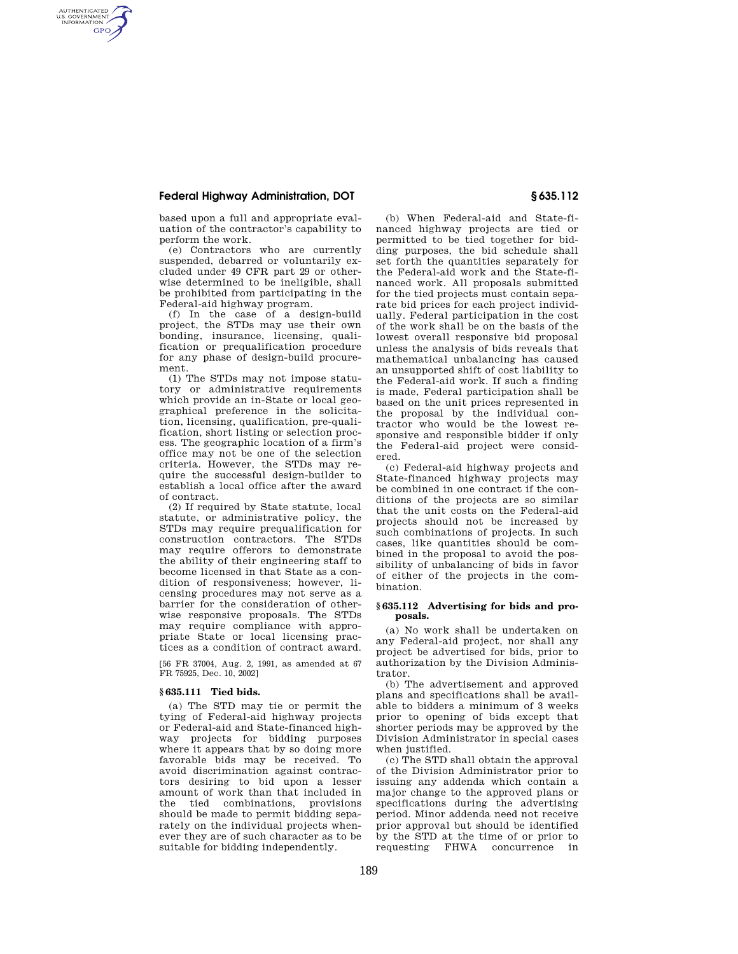# **Federal Highway Administration, DOT § 635.112**

AUTHENTICATED<br>U.S. GOVERNMENT<br>INFORMATION **GPO** 

> based upon a full and appropriate evaluation of the contractor's capability to perform the work.

> (e) Contractors who are currently suspended, debarred or voluntarily excluded under 49 CFR part 29 or otherwise determined to be ineligible, shall be prohibited from participating in the Federal-aid highway program.

> (f) In the case of a design-build project, the STDs may use their own bonding, insurance, licensing, qualification or prequalification procedure for any phase of design-build procurement.

> (1) The STDs may not impose statutory or administrative requirements which provide an in-State or local geographical preference in the solicitation, licensing, qualification, pre-qualification, short listing or selection process. The geographic location of a firm's office may not be one of the selection criteria. However, the STDs may require the successful design-builder to establish a local office after the award of contract.

> (2) If required by State statute, local statute, or administrative policy, the STDs may require prequalification for construction contractors. The STDs may require offerors to demonstrate the ability of their engineering staff to become licensed in that State as a condition of responsiveness; however, licensing procedures may not serve as a barrier for the consideration of otherwise responsive proposals. The STDs may require compliance with appropriate State or local licensing practices as a condition of contract award.

[56 FR 37004, Aug. 2, 1991, as amended at 67 FR 75925, Dec. 10, 2002]

### **§ 635.111 Tied bids.**

(a) The STD may tie or permit the tying of Federal-aid highway projects or Federal-aid and State-financed highway projects for bidding purposes where it appears that by so doing more favorable bids may be received. To avoid discrimination against contractors desiring to bid upon a lesser amount of work than that included in the tied combinations, provisions should be made to permit bidding separately on the individual projects whenever they are of such character as to be suitable for bidding independently.

(b) When Federal-aid and State-financed highway projects are tied or permitted to be tied together for bidding purposes, the bid schedule shall set forth the quantities separately for the Federal-aid work and the State-financed work. All proposals submitted for the tied projects must contain separate bid prices for each project individually. Federal participation in the cost of the work shall be on the basis of the lowest overall responsive bid proposal unless the analysis of bids reveals that mathematical unbalancing has caused an unsupported shift of cost liability to the Federal-aid work. If such a finding is made, Federal participation shall be based on the unit prices represented in the proposal by the individual contractor who would be the lowest responsive and responsible bidder if only the Federal-aid project were considered.

(c) Federal-aid highway projects and State-financed highway projects may be combined in one contract if the conditions of the projects are so similar that the unit costs on the Federal-aid projects should not be increased by such combinations of projects. In such cases, like quantities should be combined in the proposal to avoid the possibility of unbalancing of bids in favor of either of the projects in the combination.

### **§ 635.112 Advertising for bids and proposals.**

(a) No work shall be undertaken on any Federal-aid project, nor shall any project be advertised for bids, prior to authorization by the Division Administrator.

(b) The advertisement and approved plans and specifications shall be available to bidders a minimum of 3 weeks prior to opening of bids except that shorter periods may be approved by the Division Administrator in special cases when justified.

(c) The STD shall obtain the approval of the Division Administrator prior to issuing any addenda which contain a major change to the approved plans or specifications during the advertising period. Minor addenda need not receive prior approval but should be identified by the STD at the time of or prior to requesting FHWA concurrence in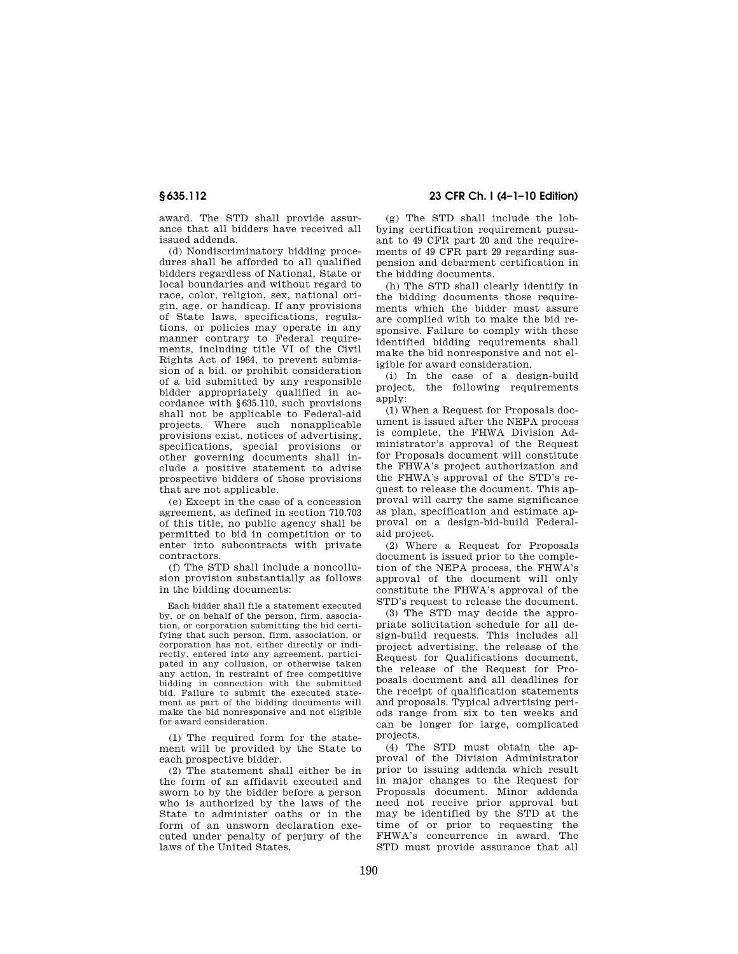award. The STD shall provide assurance that all bidders have received all issued addenda.

(d) Nondiscriminatory bidding procedures shall be afforded to all qualified bidders regardless of National, State or local boundaries and without regard to race, color, religion, sex, national origin, age, or handicap. If any provisions of State laws, specifications, regulations, or policies may operate in any manner contrary to Federal requirements, including title VI of the Civil Rights Act of 1964, to prevent submission of a bid, or prohibit consideration of a bid submitted by any responsible bidder appropriately qualified in accordance with §635.110, such provisions shall not be applicable to Federal-aid projects. Where such nonapplicable provisions exist, notices of advertising, specifications, special provisions or other governing documents shall include a positive statement to advise prospective bidders of those provisions that are not applicable.

(e) Except in the case of a concession agreement, as defined in section 710.703 of this title, no public agency shall be permitted to bid in competition or to enter into subcontracts with private contractors.

(f) The STD shall include a noncollusion provision substantially as follows in the bidding documents:

Each bidder shall file a statement executed by, or on behalf of the person, firm, association, or corporation submitting the bid certifying that such person, firm, association, or corporation has not, either directly or indirectly, entered into any agreement, participated in any collusion, or otherwise taken any action, in restraint of free competitive bidding in connection with the submitted bid. Failure to submit the executed statement as part of the bidding documents will make the bid nonresponsive and not eligible for award consideration.

(1) The required form for the statement will be provided by the State to each prospective bidder.

(2) The statement shall either be in the form of an affidavit executed and sworn to by the bidder before a person who is authorized by the laws of the State to administer oaths or in the form of an unsworn declaration executed under penalty of perjury of the laws of the United States.

# **§ 635.112 23 CFR Ch. I (4–1–10 Edition)**

(g) The STD shall include the lobbying certification requirement pursuant to 49 CFR part 20 and the requirements of 49 CFR part 29 regarding suspension and debarment certification in the bidding documents.

(h) The STD shall clearly identify in the bidding documents those requirements which the bidder must assure are complied with to make the bid responsive. Failure to comply with these identified bidding requirements shall make the bid nonresponsive and not eligible for award consideration.

(i) In the case of a design-build project, the following requirements apply:

(1) When a Request for Proposals document is issued after the NEPA process is complete, the FHWA Division Administrator's approval of the Request for Proposals document will constitute the FHWA's project authorization and the FHWA's approval of the STD's request to release the document. This approval will carry the same significance as plan, specification and estimate approval on a design-bid-build Federalaid project.

(2) Where a Request for Proposals document is issued prior to the completion of the NEPA process, the FHWA's approval of the document will only constitute the FHWA's approval of the STD's request to release the document.

(3) The STD may decide the appropriate solicitation schedule for all design-build requests. This includes all project advertising, the release of the Request for Qualifications document, the release of the Request for Proposals document and all deadlines for the receipt of qualification statements and proposals. Typical advertising periods range from six to ten weeks and can be longer for large, complicated projects.

(4) The STD must obtain the approval of the Division Administrator prior to issuing addenda which result in major changes to the Request for Proposals document. Minor addenda need not receive prior approval but may be identified by the STD at the time of or prior to requesting the FHWA's concurrence in award. The STD must provide assurance that all